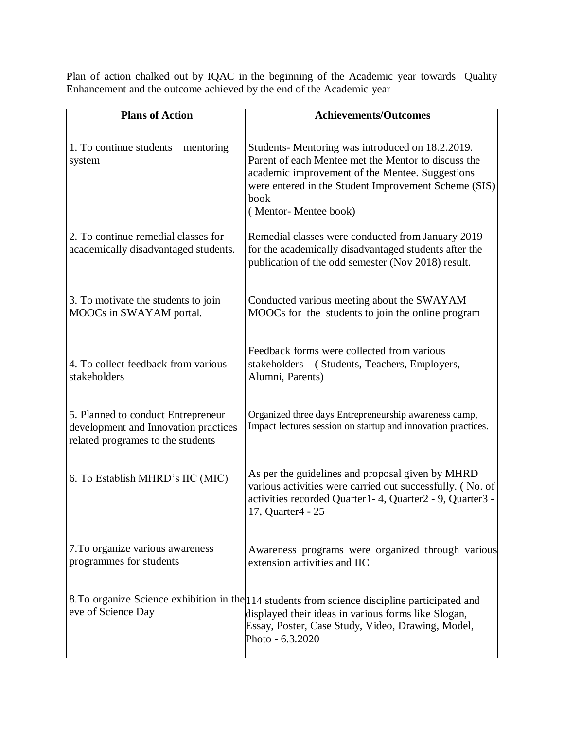Plan of action chalked out by IQAC in the beginning of the Academic year towards Quality Enhancement and the outcome achieved by the end of the Academic year

| <b>Plans of Action</b>                                                                                          | <b>Achievements/Outcomes</b>                                                                                                                                                                                                                      |
|-----------------------------------------------------------------------------------------------------------------|---------------------------------------------------------------------------------------------------------------------------------------------------------------------------------------------------------------------------------------------------|
| 1. To continue students – mentoring<br>system                                                                   | Students-Mentoring was introduced on 18.2.2019.<br>Parent of each Mentee met the Mentor to discuss the<br>academic improvement of the Mentee. Suggestions<br>were entered in the Student Improvement Scheme (SIS)<br>book<br>(Mentor-Mentee book) |
| 2. To continue remedial classes for<br>academically disadvantaged students.                                     | Remedial classes were conducted from January 2019<br>for the academically disadvantaged students after the<br>publication of the odd semester (Nov 2018) result.                                                                                  |
| 3. To motivate the students to join<br>MOOCs in SWAYAM portal.                                                  | Conducted various meeting about the SWAYAM<br>MOOCs for the students to join the online program                                                                                                                                                   |
| 4. To collect feedback from various<br>stakeholders                                                             | Feedback forms were collected from various<br>stakeholders<br>(Students, Teachers, Employers,<br>Alumni, Parents)                                                                                                                                 |
| 5. Planned to conduct Entrepreneur<br>development and Innovation practices<br>related programes to the students | Organized three days Entrepreneurship awareness camp,<br>Impact lectures session on startup and innovation practices.                                                                                                                             |
| 6. To Establish MHRD's IIC (MIC)                                                                                | As per the guidelines and proposal given by MHRD<br>various activities were carried out successfully. (No. of<br>activities recorded Quarter1-4, Quarter2 - 9, Quarter3 -<br>17, Quarter4 - 25                                                    |
| 7. To organize various awareness<br>programmes for students                                                     | Awareness programs were organized through various<br>extension activities and IIC                                                                                                                                                                 |
| eve of Science Day                                                                                              | 8. To organize Science exhibition in the 114 students from science discipline participated and<br>displayed their ideas in various forms like Slogan,<br>Essay, Poster, Case Study, Video, Drawing, Model,<br>Photo - 6.3.2020                    |